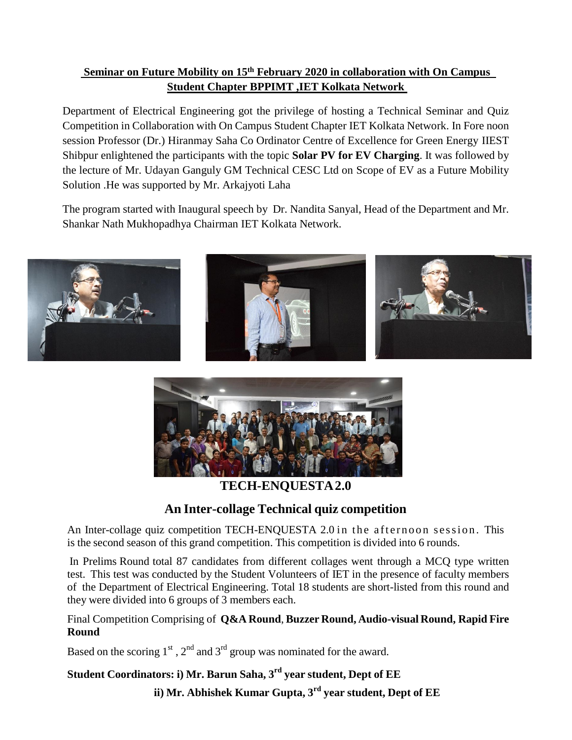## **Seminar on Future Mobility on 15th February 2020 in collaboration with On Campus Student Chapter BPPIMT ,IET Kolkata Network**

Department of Electrical Engineering got the privilege of hosting a Technical Seminar and Quiz Competition in Collaboration with On Campus Student Chapter IET Kolkata Network. In Fore noon session Professor (Dr.) Hiranmay Saha Co Ordinator Centre of Excellence for Green Energy IIEST Shibpur enlightened the participants with the topic **Solar PV for EV Charging**. It was followed by the lecture of Mr. Udayan Ganguly GM Technical CESC Ltd on Scope of EV as a Future Mobility Solution .He was supported by Mr. Arkajyoti Laha

The program started with Inaugural speech by Dr. Nandita Sanyal, Head of the Department and Mr. Shankar Nath Mukhopadhya Chairman IET Kolkata Network.





**TECH-ENQUESTA2.0**

## **An Inter-collage Technical quiz competition**

An Inter-collage quiz competition TECH-ENOUESTA 2.0 in the afternoon session. This is the second season of this grand competition. This competition is divided into 6 rounds.

In Prelims Round total 87 candidates from different collages went through a MCQ type written test. This test was conducted by the Student Volunteers of IET in the presence of faculty members of the Department of Electrical Engineering. Total 18 students are short-listed from this round and they were divided into 6 groups of 3 members each.

Final Competition Comprising of **Q&A Round**, **Buzzer Round, Audio-visual Round, Rapid Fire Round**

Based on the scoring  $1<sup>st</sup>$ ,  $2<sup>nd</sup>$  and  $3<sup>rd</sup>$  group was nominated for the award.

**Student Coordinators: i) Mr. Barun Saha, 3 rd year student, Dept of EE**

**ii) Mr. Abhishek Kumar Gupta, 3 rd year student, Dept of EE**